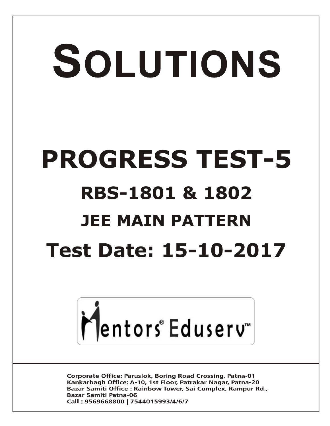# SOLUTIONS **PROGRESS TEST-5 RBS-1801 & 1802 JEE MAIN PATTERN Test Date: 15-10-2017**



**Corporate Office: Paruslok, Boring Road Crossing, Patna-01** Kankarbagh Office: A-10, 1st Floor, Patrakar Nagar, Patna-20 Bazar Samiti Office: Rainbow Tower, Sai Complex, Rampur Rd., **Bazar Samiti Patna-06** Call: 9569668800 | 7544015993/4/6/7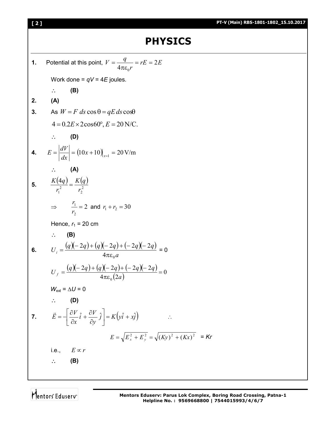Mentors<sup>e</sup> Eduserv<sup>®</sup>

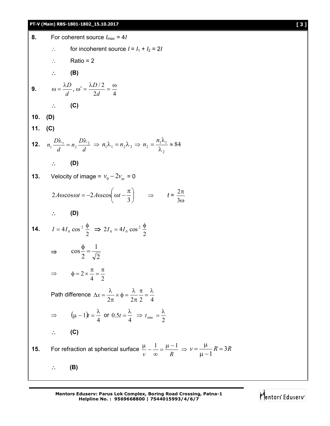## **PT-V (Main) RBS-1801-1802\_15.10.2017 [ 3 ]**

| 8.  | For coherent source $I_{max} = 4I$                                                                                                                                    |
|-----|-----------------------------------------------------------------------------------------------------------------------------------------------------------------------|
|     | for incoherent source $I = I_1 + I_2 = 2I$                                                                                                                            |
|     | $\therefore$ Ratio = 2                                                                                                                                                |
|     | $\therefore$ (B)                                                                                                                                                      |
|     | <b>9.</b> $\omega = \frac{\lambda D}{d}, \omega' = \frac{\lambda D/2}{2d} = \frac{\omega}{4}$                                                                         |
|     | $\therefore$ (C)                                                                                                                                                      |
|     | 10. $(D)$                                                                                                                                                             |
|     | 11. $(C)$                                                                                                                                                             |
|     | <b>12.</b> $n_1 \frac{D\lambda_1}{d} = n_2 \frac{D\lambda_2}{d} \Rightarrow n_1 \lambda_1 = n_2 \lambda_2 \Rightarrow n_2 = \frac{n_1 \lambda_1}{\lambda} \approx 84$ |
|     | $\therefore$ (D)                                                                                                                                                      |
|     | <b>13.</b> Velocity of image = $v_0 - 2v_m = 0$                                                                                                                       |
|     | $2A\omega\cos\omega t = -2A\omega\cos\left(\omega t - \frac{\pi}{3}\right) \implies t = \frac{2\pi}{30}$                                                              |
|     | $\therefore$ (D)                                                                                                                                                      |
|     | <b>14.</b> $I = 4I_0 \cos^2{\frac{\phi}{2}} \implies 2I_0 = 4I_0 \cos^2{\frac{\phi}{2}}$                                                                              |
|     | $\Rightarrow \cos \frac{\phi}{2} = \frac{1}{\sqrt{2}}$                                                                                                                |
|     | $\Rightarrow \qquad \phi = 2 \times \frac{\pi}{4} = \frac{\pi}{2}$                                                                                                    |
|     | Path difference $\Delta x = \frac{\lambda}{2\pi} \times \phi = \frac{\lambda}{2\pi} \frac{\pi}{2} = \frac{\lambda}{4}$                                                |
|     | $\Rightarrow$ $(\mu - 1)t = \frac{\lambda}{4}$ or $0.5t = \frac{\lambda}{4}$ $\Rightarrow$ $t_{\min} = \frac{\lambda}{2}$                                             |
|     | $\therefore$ (C)                                                                                                                                                      |
| 15. | For refraction at spherical surface $\frac{\mu}{\nu} - \frac{1}{\infty} = \frac{\mu - 1}{R} \Rightarrow \nu = \frac{\mu}{\mu - 1}R = 3R$                              |
|     | (B)                                                                                                                                                                   |

**Mentors Eduserv: Parus Lok Complex, Boring Road Crossing, Patna-1 Helpline No. : 9569668800 | 7544015993/4/6/7**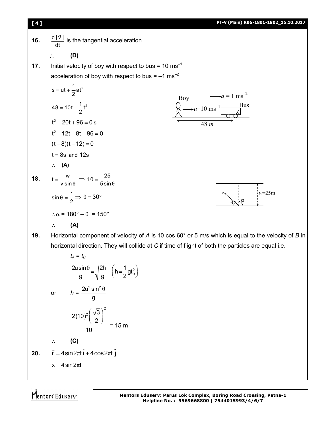**16.**  $\frac{d|\vec{v}|}{d}$ dt  $\overline{a}$ is the tangential acceleration. **(D) 17.** Initial velocity of boy with respect to bus =  $10 \text{ ms}^{-1}$ acceleration of boy with respect to bus =  $-1$  ms<sup>-2</sup>  $s = ut + \frac{1}{2}at^2$  $48 = 10t - \frac{1}{2}t^2$  $t^2 - 20t + 96 = 0$  s  $t^2 - 12t - 8t + 96 = 0$  $(t-8)(t-12) = 0$  $t = 8s$  and 12s  $\therefore$  (A) **18.**  $t = \frac{w}{v \sin \theta}$  $\Rightarrow$  10 =  $\frac{25}{5 \sin \theta}$  $\sin \theta = \frac{1}{2} \Rightarrow \theta = 30^{\circ}$  $\therefore \alpha = 180^\circ - \theta = 150^\circ$  **(A) 19.** Horizontal component of velocity of *A* is 10 cos 60° or 5 m/s which is equal to the velocity of *B* in horizontal direction. They will collide at *C* if time of flight of both the particles are equal i.e. Bus Boy  $u=10$  ms<sup>-1</sup>  $a = 1$  ms<sup>-2</sup> 48 *m*  $\theta$  $\alpha$ *v w*=25m

$$
t_{A} = t_{B}
$$
\n
$$
\frac{2u\sin\theta}{g} = \sqrt{\frac{2h}{g}} \quad \left(h = \frac{1}{2}gt_{B}^{2}\right)
$$
\n
$$
\text{or} \qquad h = \frac{2u^{2}\sin^{2}\theta}{g}
$$
\n
$$
\frac{2(10)^{2}\left(\frac{\sqrt{3}}{2}\right)^{2}}{10} = 15 \text{ m}
$$
\n
$$
\therefore \qquad \textbf{(C)}
$$
\n
$$
\vec{r} = 4\sin 2\pi t \hat{i} + 4\cos 2\pi t \hat{j}
$$
\n
$$
x = 4\sin 2\pi t
$$

Mentors<sup>e</sup> Eduserv<sup>®</sup>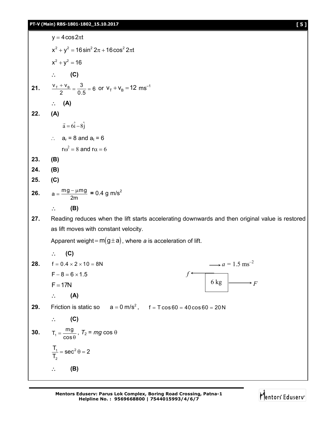$y = 4 \cos 2\pi t$  $x^{2} + y^{2} = 16 \sin^{2} 2\pi + 16 \cos^{2} 2\pi t$  $x^2 + y^2 = 16$  $\therefore$  (C) **21.**  $\frac{V_{\rm T} + V_{\rm B}}{2} = \frac{3}{0.5} = 6$  $\frac{+V_B}{2} = \frac{3}{0.5} = 6$  or  $V_T + V_B = 12$  ms<sup>-1</sup> **(A) 22. (A)**  $\vec{a} = 6\hat{i} - 8\hat{j}$  $\rightarrow$  $\therefore$  a<sub>r</sub> = 8 and a<sub>t</sub> = 6  $r\omega^2 = 8$  and  $r\alpha = 6$ **23. (B) 24. (B) 25. (C) 26.**  $a = \frac{mg - \mu mg}{2m}$  $=\frac{mg - \mu mg}{2} = 0.4 \text{ g m/s}^2$  **(B) 27.** Reading reduces when the lift starts accelerating downwards and then original value is restored as lift moves with constant velocity. Apparent weight =  $m(g \pm a)$ , where *a* is acceleration of lift.  $\therefore$  (C) **28.**  $f = 0.4 \times 2 \times 10 = 8N$  $F - 8 = 6 \times 1.5$  $F = 17N$  **(A) 29.** Friction is static so  $a = 0$  m/s<sup>2</sup>,  $f = T \cos 60 = 40 \cos 60 = 20$  N **(C) 30.**  $T_1 = \frac{mg}{\cos \theta}$ ,  $T_2$  =  $mg$  cos  $\theta$  $1 -$  200 $^2$ 2  $\frac{T_1}{T_2}$  = sec<sup>2</sup>  $\theta$  = 2 T,  $=$  sec<sup>2</sup> $\theta = 2$  **(B)** 6 kg  $\downarrow \longrightarrow$  F *f*  $\rightarrow a = 1.5$  ms<sup>-2</sup>

> **Mentors Eduserv: Parus Lok Complex, Boring Road Crossing, Patna-1 Helpline No. : 9569668800 | 7544015993/4/6/7**

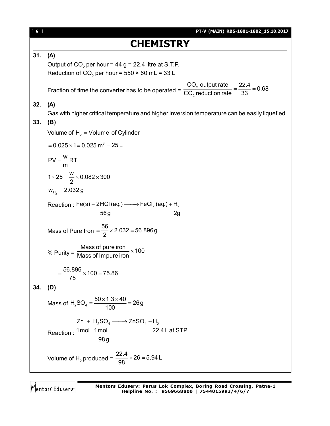| [6] | PT-V (MAIN) RBS-1801-1802_15.10.2017                                                                           |
|-----|----------------------------------------------------------------------------------------------------------------|
|     | <b>CHEMISTRY</b>                                                                                               |
| 31. | (A)                                                                                                            |
|     | Output of $CO2$ per hour = 44 g = 22.4 litre at S.T.P.                                                         |
|     | Reduction of CO <sub>2</sub> per hour = $550 \times 60$ mL = 33 L                                              |
|     |                                                                                                                |
|     | Fraction of time the converter has to be operated = $\frac{CO_2}{CO_2}$ putput rate = $\frac{22.4}{33}$ = 0.68 |
| 32. | (A)                                                                                                            |
|     | Gas with higher critical temperature and higher inversion temperature can be easily liquefied.                 |
| 33. | (B)                                                                                                            |
|     | Volume of $H_2 =$ Volume of Cylinder                                                                           |
|     | $= 0.025 \times 1 = 0.025$ m <sup>3</sup> = 25 L                                                               |
|     | $PV = \frac{W}{m}RT$                                                                                           |
|     | $1 \times 25 = \frac{W}{2} \times 0.082 \times 300$                                                            |
|     | $W_{H_2} = 2.032 g$                                                                                            |
|     | Reaction: $Fe(s) + 2HCl(aq.) \longrightarrow FeCl2(aq.) + H2$<br>56g<br>2g                                     |
|     | Mass of Pure Iron = $\frac{56}{2}$ × 2.032 = 56.896g                                                           |
|     | % Purity = $\frac{\text{Mass of pure iron}}{\text{Mass of Impure iron}} \times 100$                            |
|     | $=\frac{56.896}{75} \times 100 = 75.86$                                                                        |
| 34. | (D)                                                                                                            |
|     | Mass of $H_2SO_4 = \frac{50 \times 1.3 \times 40}{100} = 26g$                                                  |
|     | $Zn + H_2SO_4 \longrightarrow ZnSO_4 + H_2$                                                                    |
|     | 22.4L at STP<br>Reaction: 1mol 1mol                                                                            |
|     | 98g                                                                                                            |
|     | Volume of H <sub>2</sub> produced = $\frac{22.4}{98} \times 26 = 5.94$ L                                       |

Mentors<sup>e</sup> Eduserv<sup>-</sup>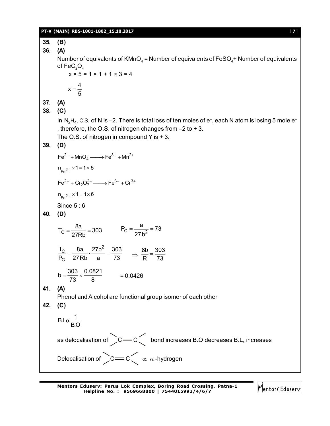### **PT-V (MAIN) RBS-1801-1802\_15.10.2017** [ **7** ]

**35. (B) 36. (A)** Number of equivalents of KMnO $_{\scriptscriptstyle 4}$  = Number of equivalents of FeSO $_{\scriptscriptstyle 4}$ + Number of equivalents of  $\mathsf{FeC}_2\mathrm{O}_4$  $x \times 5 = 1 \times 1 + 1 \times 3 = 4$  $x = \frac{4}{5}$ 5  $=$ **37. (A) 38. (C)** In  $\rm N_2H_4$ , O.S. of N is –2. There is total loss of ten moles of e<sup>–</sup>, each N atom is losing 5 mole e<sup>–</sup> , therefore, the O.S. of nitrogen changes from –2 to + 3. The O.S. of nitrogen in compound Y is  $+3$ . **39. (D)**  $\text{Fe}^{2+} + \text{MnO}_4^- \longrightarrow \text{Fe}^{3+} + \text{Mn}^{2+}$  $n_{Fe^{2+}} \times 1 = 1 \times 5$  $Fe^{2+} + Cr_2O_7^{2-} \longrightarrow Fe^{3+} + Cr^{3+}$  $n_{Fe^{2+}} \times 1 = 1 \times 6$ Since 5:6 **40. (D)**  $T_C = \frac{8a}{27Bb} = 303$  $=\frac{3a}{27Rb}$  = 303 P<sub>C</sub> =  $\frac{1}{27b^2}$  $P_C = \frac{a}{2} = 73$ 27b  $=\frac{a}{2} = 7$  $\frac{c}{c}$   $=$  8a  $\frac{27b^2}{c}$ C  $\rm T_{C}$  8a 27b<sup>2</sup> 303  $\frac{1_C}{P_C} = \frac{8a}{27Rb} \cdot \frac{27b^2}{a} = \frac{303}{73}$   $\Rightarrow \frac{8b}{R} = \frac{303}{73}$ R 73  $=$  $b = \frac{303}{72} \times \frac{0.0821}{2}$  $=\frac{388}{73} \times \frac{3.8821}{8}$  = 0.0426 **41. (A)** Phenol and Alcohol are functional group isomer of each other **42. (C)**  $B.L\alpha - \frac{1}{2}$ B.O  $\alpha$ as delocalisation of  $\gtrsim$  C  $\leq$  bond increases B.O decreases B.L, increases Delocalisation of  $\sum C$  =  $C \left\{ \begin{array}{c} \propto \alpha \end{array} \right.$  -hydrogen

Mentors<sup>®</sup> Eduserv<sup>®</sup>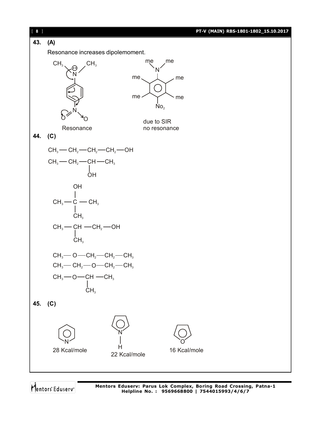

Mentors Eduserv

**Mentors Eduserv: Parus Lok Complex, Boring Road Crossing, Patna-1 Helpline No. : 9569668800 | 7544015993/4/6/7**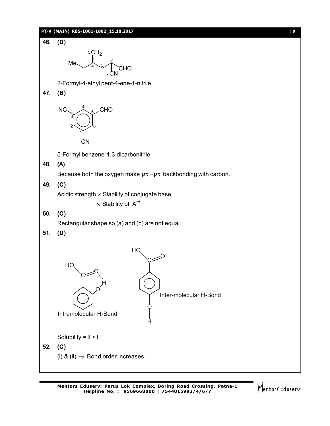### **PT-V (MAIN) RBS-1801-1802\_15.10.2017** [ **9** ]



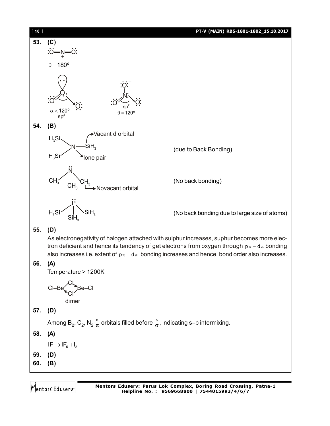

Mentors Eduserv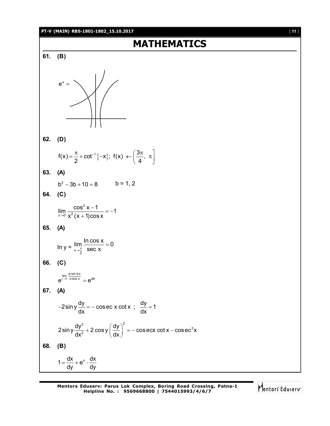### **PT-V (MAIN) RBS-1801-1802\_15.10.2017** [ **11** ]

# **MATHEMATICS 61. (B)**  $e^x =$ **62. (D)**  $f(x) = \frac{\pi}{2} + \cot^{-1}\{-x\}; f(x) \leftarrow \left(\frac{3\pi}{4}, \right)$ 2  $($   $)$ ,  $($   $)$   $($   $)$  $=\frac{\pi}{2}+\cot^{-1}\{-x\};$   $f(x) \leftarrow \left(\frac{3\pi}{4}, \pi\right)$ **63. (A)**  $b^2 - 3b + 10 = 8$   $b = 1, 2$ **64. (C)** 2  $\lim_{x\to 0} \frac{\cos^2 x - 1}{x^2 (x + 1) \cos x} = -1$  $\rightarrow$ <sup>0</sup> x<sup>2</sup> (x + 1)cos x  $\frac{-1}{-} = -1$  $\ddot{}$ **65. (A)** In  $y = \frac{\ln 11}{x \to \frac{\pi}{2}}$  $\lim \frac{\ln \cos x}{x} = 0$  $\rightarrow \frac{\pi}{2}$  Sec x  $=$ **66. (C)**  $\lim_{x\to 0} \frac{a \sin bx}{x \cos x}$  $e^{x\rightarrow 0 \quad x \cos x} = e^{ab}$ **67. (A)**  $2\sin y \frac{dy}{dx} = -\csc x \cot x$ ;  $\frac{dy}{dx} = 1$ dx dx  $-2\sin y \frac{dy}{dx} = -\cos ec \times \cot x$ ;  $\frac{dy}{dx} = 1$  $\left( \frac{2}{3} \cos y \right)^2$  =  $\cos \cos \left( \frac{1}{2} \right)$   $\cos \left( \frac{1}{2} \right)$  $2 \sin y \frac{dy^2}{dx^2} + 2 \cos y \left(\frac{dy}{dx}\right)^2 = -\cos{\rm ecc}\cot{x} - \cos{\rm ecc}^3 x$  $dx^2$   $\left( dx \right)$ + 2  $\cos y \left(\frac{dy}{dx}\right)^2 = -\cos \sec x \cot x - c$ **68. (B)**

 $1 = \frac{dx}{dt} + e^{x} \cdot \frac{dx}{dt}$ dy dy  $=\frac{an}{b}+e^x \cdot \frac{a}{b}$ 

Mentors Eduserv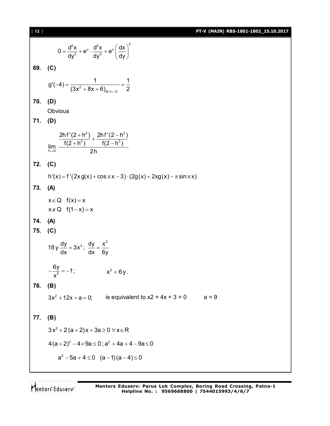[ **12** ] **PT-V (MAIN) RBS-1801-1802\_15.10.2017**  $\int x^2$   $\int x^2 dx$   $\int x(x)^2$  $0 = \frac{d^2x}{dx^2} + e^x \cdot \frac{d^2x}{dx^2} + e^x \frac{dx}{dx}$ dy<sup>2</sup> dy<sup>2</sup> (dy  $=\frac{d^2x}{dy^2}+e^x\cdot\frac{d^2x}{dy^2}+e^x\left(\frac{dx}{dy}\right)^2$ **69. (C)**  $2^2 + 8x + 6$ <sub>dt x=-2</sub>  $g'(-4) = \frac{1}{(2a^2-1)(2a+1)} = \frac{1}{2}$  $(3x^2 + 8x + 6)_{at x=-2}$  2  $-4) = \frac{1}{(2 \cdot 3 \cdot 2 \cdot 2 \cdot 2)} = \frac{1}{4}$  $+8x+6$ **70. (D) Obvious 71. (D)**  $2)$  2hf'(2 h<sup>2</sup>  $2 \lambda$  f(2 h<sup>2</sup>)  $h\rightarrow 0$  $2h f'(2 + h^2)$   $2h f'(2 - h^2)$  $\lim_{h\to 0} \frac{f(2+h^2)}{2h}$   $\frac{f(2-h^2)}{2h}$  $+\frac{h^2}{2}$  +  $\frac{2hf'(2-h)}{f(2-h)}$  $+h^2$ )  $f(2-h)$ **72. (C)**  $h'(x) = f'(2x g(x) + \cos \pi x - 3) \cdot (2g(x) + 2xg(x) - \pi \sin \pi x)$ **73. (A)**  $x \in Q$   $f(x) = x$  $x \notin Q$   $f(1-x) = x$ **74. (A) 75. (C)** 18 y  $\frac{dy}{dx} = 3x^2$ ;  $\frac{dy}{dx} = \frac{x^2}{2}$ dx dx 6y  $=3x^{2}$ ;  $\frac{dy}{dx} = \frac{1}{2}$  $\frac{6y}{x^2} = -1$ ; x  $-\frac{y}{x^2} = -1;$   $x^2 = 6y$ . **76. (B)**  $3x^2 + 12x + a = 0$ ; is equivalent to  $x^2 + 4x + 3 = 0$  a = 9 **77. (B)**  $3x^2 + 2(a + 2)x + 3a \ge 0 \,\forall x \in \mathsf{R}$  $4(a+2)^2 - 4 \times 9a \le 0$ ;  $a^2 + 4a + 4 - 9a \le 0$  $a^2 - 5a + 4 \le 0$   $(a-1)(a-4) \le 0$ 

Mentors Eduserv